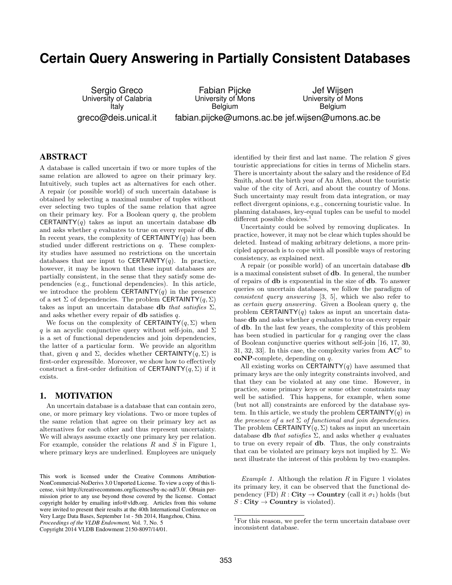# **Certain Query Answering in Partially Consistent Databases**

Sergio Greco University of Calabria Italy greco@deis.unical.it

Fabian Pijcke University of Mons Belgium fabian.pijcke@umons.ac.be jef.wijsen@umons.ac.be Jef Wijsen University of Mons Belgium

# ABSTRACT

A database is called uncertain if two or more tuples of the same relation are allowed to agree on their primary key. Intuitively, such tuples act as alternatives for each other. A repair (or possible world) of such uncertain database is obtained by selecting a maximal number of tuples without ever selecting two tuples of the same relation that agree on their primary key. For a Boolean query  $q$ , the problem **CERTAINTY** $(q)$  takes as input an uncertain database **db** and asks whether  $q$  evaluates to true on every repair of  $db$ . In recent years, the complexity of  $CERTAINTY(q)$  has been studied under different restrictions on q. These complexity studies have assumed no restrictions on the uncertain databases that are input to CERTAINTY $(q)$ . In practice, however, it may be known that these input databases are partially consistent, in the sense that they satisfy some dependencies (e.g., functional dependencies). In this article, we introduce the problem **CERTAINTY** $(q)$  in the presence of a set  $\Sigma$  of dependencies. The problem **CERTAINTY** $(q, \Sigma)$ takes as input an uncertain database db that satisfies  $\Sigma$ , and asks whether every repair of db satisfies q.

We focus on the complexity of CERTAINTY $(q, \Sigma)$  when q is an acyclic conjunctive query without self-join, and  $\Sigma$ is a set of functional dependencies and join dependencies, the latter of a particular form. We provide an algorithm that, given q and  $\Sigma$ , decides whether **CERTAINTY** $(q, \Sigma)$  is first-order expressible. Moreover, we show how to effectively construct a first-order definition of **CERTAINTY** $(q, \Sigma)$  if it exists.

## 1. MOTIVATION

An uncertain database is a database that can contain zero, one, or more primary key violations. Two or more tuples of the same relation that agree on their primary key act as alternatives for each other and thus represent uncertainty. We will always assume exactly one primary key per relation. For example, consider the relations  $R$  and  $S$  in Figure 1, where primary keys are underlined. Employees are uniquely

*Proceedings of the VLDB Endowment,* Vol. 7, No. 5

Copyright 2014 VLDB Endowment 2150-8097/14/01.

identified by their first and last name. The relation  $S$  gives touristic appreciations for cities in terms of Michelin stars. There is uncertainty about the salary and the residence of Ed Smith, about the birth year of An Allen, about the touristic value of the city of Acri, and about the country of Mons. Such uncertainty may result from data integration, or may reflect divergent opinions, e.g., concerning touristic value. In planning databases, key-equal tuples can be useful to model different possible choices.<sup>1</sup>

Uncertainty could be solved by removing duplicates. In practice, however, it may not be clear which tuples should be deleted. Instead of making arbitrary deletions, a more principled approach is to cope with all possible ways of restoring consistency, as explained next.

A repair (or possible world) of an uncertain database db is a maximal consistent subset of db. In general, the number of repairs of db is exponential in the size of db. To answer queries on uncertain databases, we follow the paradigm of consistent query answering [3, 5], which we also refer to as certain query answering. Given a Boolean query q, the problem CERTAINTY $(q)$  takes as input an uncertain database **db** and asks whether  $q$  evaluates to true on every repair of db. In the last few years, the complexity of this problem has been studied in particular for  $q$  ranging over the class of Boolean conjunctive queries without self-join [16, 17, 30, 31, 32, 33. In this case, the complexity varies from  $AC^0$  to coNP-complete, depending on q.

All existing works on CERTAINTY $(q)$  have assumed that primary keys are the only integrity constraints involved, and that they can be violated at any one time. However, in practice, some primary keys or some other constraints may well be satisfied. This happens, for example, when some (but not all) constraints are enforced by the database system. In this article, we study the problem CERTAINTY(q) in the presence of a set  $\Sigma$  of functional and join dependencies. The problem CERTAINTY $(q, \Sigma)$  takes as input an uncertain database **db** that satisfies  $\Sigma$ , and asks whether q evaluates to true on every repair of db. Thus, the only constraints that can be violated are primary keys not implied by  $\Sigma$ . We next illustrate the interest of this problem by two examples.

Example 1. Although the relation  $R$  in Figure 1 violates its primary key, it can be observed that the functional dependency (FD)  $R : \text{City} \rightarrow \text{Country}$  (call it  $\sigma_1$ ) holds (but  $S:$  City  $\rightarrow$  Country is violated).

This work is licensed under the Creative Commons Attribution-NonCommercial-NoDerivs 3.0 Unported License. To view a copy of this license, visit http://creativecommons.org/licenses/by-nc-nd/3.0/. Obtain permission prior to any use beyond those covered by the license. Contact copyright holder by emailing info@vldb.org. Articles from this volume were invited to present their results at the 40th International Conference on Very Large Data Bases, September 1st - 5th 2014, Hangzhou, China.

<sup>&</sup>lt;sup>1</sup>For this reason, we prefer the term uncertain database over inconsistent database.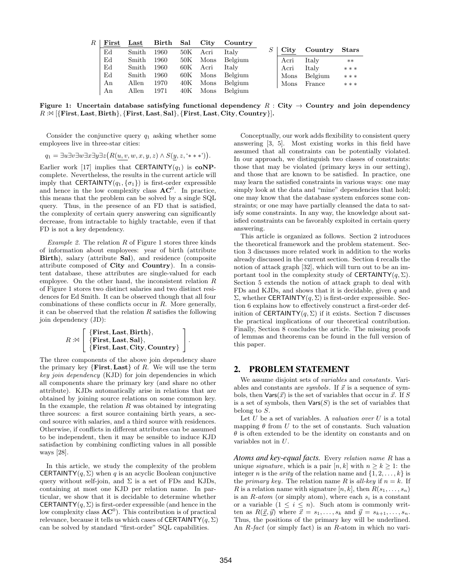| $\,R$ | First | $\operatorname{Last}$ | Birth | Sal   | $\rm City$ | Country |                  |         |                |
|-------|-------|-----------------------|-------|-------|------------|---------|------------------|---------|----------------|
|       | Ed    | Smith                 | 1960  | 50K   | Acri       | Italy   | $\mathrm{C}$ ity | Country | $_{\rm Stars}$ |
|       | Ed    | Smith                 | 1960  | 50K   | Mons       | Belgium | Acri             | Italy   | $**$           |
|       | Ed    | Smith                 | 1960  | 60K - | Acri       | Italy   | Acri             | Italy   | ***            |
|       | Ed    | Smith                 | 1960  | 60K   | Mons       | Belgium | Mons             | Belgium | ***            |
|       | An    | Allen                 | 1970  | 40K   | Mons       | Belgium | Mons             | France  | ***            |
|       | An    | Allen                 | 1971  | 40K   | Mons       | Belgium |                  |         |                |

Figure 1: Uncertain database satisfying functional dependency R : City  $\rightarrow$  Country and join dependency  $R : \mathbb{N}$  [{First, Last, Birth}, {First, Last, Sal}, {First, Last, City, Country}].

Consider the conjunctive query  $q_1$  asking whether some employees live in three-star cities:

$$
q_1 = \exists u \exists v \exists w \exists x \exists y \exists z (R(u, v, w, x, y, z) \land S(y, z, '**))
$$

Earlier work [17] implies that CERTAINTY( $q_1$ ) is coNPcomplete. Nevertheless, the results in the current article will imply that CERTAINTY $(q_1, \{\sigma_1\})$  is first-order expressible and hence in the low complexity class  $AC^0$ . In practice, this means that the problem can be solved by a single SQL query. Thus, in the presence of an FD that is satisfied, the complexity of certain query answering can significantly decrease, from intractable to highly tractable, even if that FD is not a key dependency.

Example 2. The relation  $R$  of Figure 1 stores three kinds of information about employees: year of birth (attribute Birth), salary (attribute Sal), and residence (composite attribute composed of City and Country). In a consistent database, these attributes are single-valued for each employee. On the other hand, the inconsistent relation  $R$ of Figure 1 stores two distinct salaries and two distinct residences for Ed Smith. It can be observed though that all four combinations of these conflicts occur in R. More generally, it can be observed that the relation  $R$  satisfies the following join dependency (JD):

$$
R:\Join\left[\begin{array}{l}\{\textbf{First},\textbf{Last},\textbf{Birth}\},\\ \{\textbf{First},\textbf{Last},\textbf{Sal}\},\\ \{\textbf{First},\textbf{Last},\textbf{City},\textbf{Country}\}\end{array}\right].
$$

The three components of the above join dependency share the primary key  ${First, Last}$  of R. We will use the term key join dependency (KJD) for join dependencies in which all components share the primary key (and share no other attribute). KJDs automatically arise in relations that are obtained by joining source relations on some common key. In the example, the relation  $R$  was obtained by integrating three sources: a first source containing birth years, a second source with salaries, and a third source with residences. Otherwise, if conflicts in different attributes can be assumed to be independent, then it may be sensible to induce KJD satisfaction by combining conflicting values in all possible ways [28].

In this article, we study the complexity of the problem **CERTAINTY** $(q, \Sigma)$  when q is an acyclic Boolean conjunctive query without self-join, and  $\Sigma$  is a set of FDs and KJDs, containing at most one KJD per relation name. In particular, we show that it is decidable to determine whether **CERTAINTY** $(q, \Sigma)$  is first-order expressible (and hence in the low complexity class  $AC^0$ ). This contribution is of practical relevance, because it tells us which cases of CERTAINTY $(q, \Sigma)$ can be solved by standard "first-order" SQL capabilities.

Conceptually, our work adds flexibility to consistent query answering [3, 5]. Most existing works in this field have assumed that all constraints can be potentially violated. In our approach, we distinguish two classes of constraints: those that may be violated (primary keys in our setting), and those that are known to be satisfied. In practice, one may learn the satisfied constraints in various ways: one may simply look at the data and "mine" dependencies that hold; one may know that the database system enforces some constraints; or one may have partially cleansed the data to satisfy some constraints. In any way, the knowledge about satisfied constraints can be favorably exploited in certain query answering.

This article is organized as follows. Section 2 introduces the theoretical framework and the problem statement. Section 3 discusses more related work in addition to the works already discussed in the current section. Section 4 recalls the notion of attack graph [32], which will turn out to be an important tool in the complexity study of CERTAINTY( $q, \Sigma$ ). Section 5 extends the notion of attack graph to deal with FDs and KJDs, and shows that it is decidable, given  $q$  and Σ, whether CERTAINTY $(q, Σ)$  is first-order expressible. Section 6 explains how to effectively construct a first-order definition of CERTAINTY $(q, \Sigma)$  if it exists. Section 7 discusses the practical implications of our theoretical contribution. Finally, Section 8 concludes the article. The missing proofs of lemmas and theorems can be found in the full version of this paper.

# 2. PROBLEM STATEMENT

We assume disjoint sets of *variables* and *constants*. Variables and constants are *symbols*. If  $\vec{x}$  is a sequence of symbols, then  $\text{Vars}(\vec{x})$  is the set of variables that occur in  $\vec{x}$ . If S is a set of symbols, then  $\text{Vars}(S)$  is the set of variables that belong to S.

Let  $U$  be a set of variables. A valuation over  $U$  is a total mapping  $\theta$  from U to the set of constants. Such valuation  $\theta$  is often extended to be the identity on constants and on variables not in U.

*Atoms and key-equal facts.* Every relation name R has a unique *signature*, which is a pair  $[n, k]$  with  $n \geq k \geq 1$ : the integer *n* is the *arity* of the relation name and  $\{1, 2, \ldots, k\}$  is the *primary key*. The relation name R is all-key if  $n = k$ . If R is a relation name with signature  $[n, k]$ , then  $R(s_1, \ldots, s_n)$ is an R-atom (or simply atom), where each  $s_i$  is a constant or a variable  $(1 \leq i \leq n)$ . Such atom is commonly written as  $R(\underline{\vec{x}}, \vec{y})$  where  $\vec{x} = s_1, \ldots, s_k$  and  $\vec{y} = s_{k+1}, \ldots, s_n$ . Thus, the positions of the primary key will be underlined. An R-fact (or simply fact) is an R-atom in which no vari-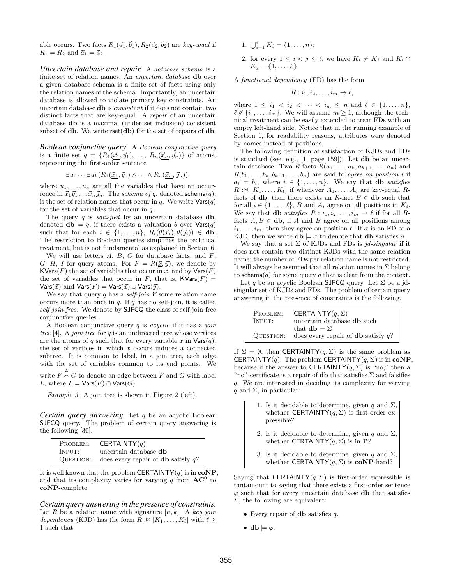able occurs. Two facts  $R_1(\vec{a}_1, \vec{b}_1), R_2(\vec{a}_2, \vec{b}_2)$  are key-equal if  $R_1 = R_2$  and  $\vec{a}_1 = \vec{a}_2$ .

*Uncertain database and repair.* A database schema is a finite set of relation names. An uncertain database db over a given database schema is a finite set of facts using only the relation names of the schema. Importantly, an uncertain database is allowed to violate primary key constraints. An uncertain database db is consistent if it does not contain two distinct facts that are key-equal. A repair of an uncertain database db is a maximal (under set inclusion) consistent subset of  $db$ . We write  $rset(db)$  for the set of repairs of  $db$ .

*Boolean conjunctive query.* A Boolean conjunctive query is a finite set  $q = \{R_1(\vec{x}_1, \vec{y}_1), \ldots, R_n(\vec{x}_n, \vec{y}_n)\}\$  of atoms, representing the first-order sentence

$$
\exists u_1 \cdots \exists u_k (R_1(\vec{x}_1, \vec{y}_1) \wedge \cdots \wedge R_n(\vec{x}_n, \vec{y}_n)),
$$

where  $u_1, \ldots, u_k$  are all the variables that have an occurrence in  $\vec{x}_1\vec{y}_1 \ldots \vec{x}_n\vec{y}_n$ . The schema of q, denoted schema $(q)$ , is the set of relation names that occur in q. We write  $\text{Vars}(q)$ for the set of variables that occur in  $q$ .

The query  $q$  is *satisfied* by an uncertain database  $db$ , denoted  $\mathbf{db} \models q$ , if there exists a valuation  $\theta$  over  $\mathsf{Vars}(q)$ such that for each  $i \in \{1, \ldots, n\}, R_i(\theta(\vec{x}_i), \theta(\vec{y}_i)) \in \mathbf{db}.$ The restriction to Boolean queries simplifies the technical treatment, but is not fundamental as explained in Section 6.

We will use letters  $A, B, C$  for database facts, and  $F$ , G, H, I for query atoms. For  $F = R(\underline{\vec{x}}, \vec{y})$ , we denote by KVars(F) the set of variables that occur in  $\vec{x}$ , and by Vars(F) the set of variables that occur in F, that is,  $\mathsf{KVars}(F) =$  $\textsf{Vars}(\vec{x})$  and  $\textsf{Vars}(F) = \textsf{Vars}(\vec{x}) \cup \textsf{Vars}(\vec{y}).$ 

We say that query q has a *self-join* if some relation name occurs more than once in  $q$ . If  $q$  has no self-join, it is called self-join-free. We denote by **SJFCQ** the class of self-join-free conjunctive queries.

A Boolean conjunctive query  $q$  is *acyclic* if it has a *join* tree [4]. A *join tree* for  $q$  is an undirected tree whose vertices are the atoms of q such that for every variable x in  $\mathsf{Vars}(q)$ , the set of vertices in which  $x$  occurs induces a connected subtree. It is common to label, in a join tree, each edge with the set of variables common to its end points. We

write  $F \stackrel{L}{\sim} G$  to denote an edge between  $F$  and  $G$  with label L, where  $L = \text{Vars}(F) \cap \text{Vars}(G)$ .

Example 3. A join tree is shown in Figure 2 (left).

*Certain query answering.* Let q be an acyclic Boolean SJFCQ query. The problem of certain query answering is the following [30].

| PROBLEM: | CERTAINTY $(q)$                                        |
|----------|--------------------------------------------------------|
| INPUT:   | uncertain database <b>db</b>                           |
|          | QUESTION: does every repair of <b>db</b> satisfy $q$ ? |

It is well known that the problem CERTAINTY $(q)$  is in  $coNP$ . and that its complexity varies for varying  $q$  from  $AC^0$  to coNP-complete.

*Certain query answering in the presence of constraints.* Let R be a relation name with signature  $[n, k]$ . A key join dependency (KJD) has the form  $R : \mathbb{R} [K_1, \ldots, K_\ell]$  with  $\ell \geq 1$ 1 such that

- 1.  $\bigcup_{i=1}^{\ell} K_i = \{1, \ldots, n\};$
- 2. for every  $1 \leq i < j \leq \ell$ , we have  $K_i \neq K_j$  and  $K_i \cap$  $K_i = \{1, \ldots, k\}.$

A functional dependency (FD) has the form

$$
R: i_1, i_2, \ldots, i_m \to \ell,
$$

where  $1 \le i_1 < i_2 < \cdots < i_m \le n$  and  $\ell \in \{1, ..., n\}$ ,  $\ell \notin \{i_1, \ldots, i_m\}$ . We will assume  $m \geq 1$ , although the technical treatment can be easily extended to treat FDs with an empty left-hand side. Notice that in the running example of Section 1, for readability reasons, attributes were denoted by names instead of positions.

The following definition of satisfaction of KJDs and FDs is standard (see, e.g., [1, page 159]). Let db be an uncertain database. Two R-facts  $R(a_1, \ldots, a_k, a_{k+1}, \ldots, a_n)$  and  $R(b_1, \ldots, b_k, b_{k+1}, \ldots, b_n)$  are said to agree on position i if  $a_i = b_i$ , where  $i \in \{1, \ldots, n\}$ . We say that **db** satisfies  $R : \mathbb{X} [K_1, \ldots, K_\ell]$  if whenever  $A_1, \ldots, A_\ell$  are key-equal  $R$ facts of **db**, then there exists an R-fact  $B \in$  **db** such that for all  $i \in \{1, \ldots, \ell\}$ , B and  $A_i$  agree on all positions in  $K_i$ . We say that **db** satisfies  $R : i_1, i_2, \ldots, i_m \rightarrow \ell$  if for all  $R$ facts  $A, B \in$  db, if A and B agree on all positions among  $i_1, \ldots, i_m$ , then they agree on position  $\ell$ . If  $\sigma$  is an FD or a KJD, then we write  $\mathbf{db} \models \sigma$  to denote that  $\mathbf{db}$  satisfies  $\sigma$ .

We say that a set  $\Sigma$  of KJDs and FDs is jd-singular if it does not contain two distinct KJDs with the same relation name; the number of FDs per relation name is not restricted. It will always be assumed that all relation names in  $\Sigma$  belong to schema $(q)$  for some query q that is clear from the context.

Let q be an acyclic Boolean SJFCQ query. Let  $\Sigma$  be a jdsingular set of KJDs and FDs. The problem of certain query answering in the presence of constraints is the following.

| PROBLEM:  | CERTAINTY $(q, \Sigma)$                      |
|-----------|----------------------------------------------|
| INPUT:    | uncertain database <b>db</b> such            |
|           | that $\mathbf{db} \models \Sigma$            |
| QUESTION: | does every repair of <b>db</b> satisfy $q$ ? |

If  $\Sigma = \emptyset$ , then **CERTAINTY** $(q, \Sigma)$  is the same problem as CERTAINTY(q). The problem CERTAINTY(q,  $\Sigma$ ) is in coNP, because if the answer to CERTAINTY $(q, \Sigma)$  is "no," then a "no"-certificate is a repair of  ${\bf db}$  that satisfies  $\Sigma$  and falsifies q. We are interested in deciding its complexity for varying q and  $\Sigma$ , in particular:

| pressible? | 1. Is it decidable to determine, given q and $\Sigma$ ,<br>whether CERTAINTY( $q$ , $\Sigma$ ) is first-order ex- |
|------------|-------------------------------------------------------------------------------------------------------------------|
|            | 2. Is it decidable to determine, given q and $\Sigma$ ,<br>whether CERTAINTY( $q, \Sigma$ ) is in <b>P</b> ?      |

3. Is it decidable to determine, given q and  $\Sigma$ , whether CERTAINTY $(q, \Sigma)$  is coNP-hard?

Saying that CERTAINTY $(q, \Sigma)$  is first-order expressible is tantamount to saying that there exists a first-order sentence  $\varphi$  such that for every uncertain database **db** that satisfies  $\Sigma$ , the following are equivalent:

- Every repair of **db** satisfies  $q$ .
- db  $\models \varphi$ .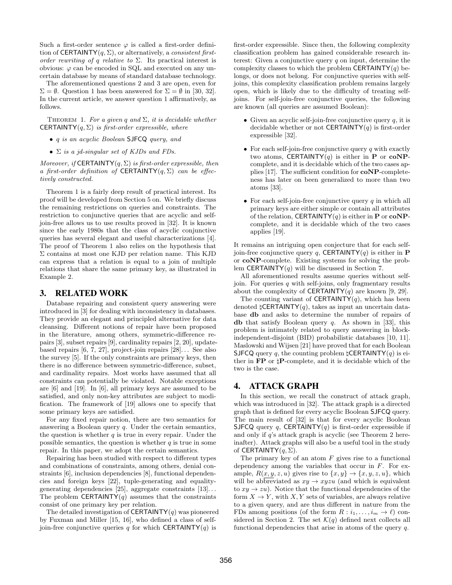Such a first-order sentence  $\varphi$  is called a first-order definition of CERTAINTY $(q, \Sigma)$ , or alternatively, a *consistent first*order rewriting of q relative to  $\Sigma$ . Its practical interest is obvious:  $\varphi$  can be encoded in SQL and executed on any uncertain database by means of standard database technology.

The aforementioned questions 2 and 3 are open, even for  $\Sigma = \emptyset$ . Question 1 has been answered for  $\Sigma = \emptyset$  in [30, 32]. In the current article, we answer question 1 affirmatively, as follows.

THEOREM 1. For a given q and  $\Sigma$ , it is decidable whether **CERTAINTY** $(q, \Sigma)$  is first-order expressible, where

- *q is an acyclic Boolean* SJFCQ *query*, and
- $\Sigma$  is a jd-singular set of KJDs and FDs.

Moreover, if CERTAINTY $(q, \Sigma)$  is first-order expressible, then a first-order definition of CERTAINTY $(q, \Sigma)$  can be effectively constructed.

Theorem 1 is a fairly deep result of practical interest. Its proof will be developed from Section 5 on. We briefly discuss the remaining restrictions on queries and constraints. The restriction to conjunctive queries that are acyclic and selfjoin-free allows us to use results proved in [32]. It is known since the early 1980s that the class of acyclic conjunctive queries has several elegant and useful characterizations [4]. The proof of Theorem 1 also relies on the hypothesis that  $\Sigma$  contains at most one KJD per relation name. This KJD can express that a relation is equal to a join of multiple relations that share the same primary key, as illustrated in Example 2.

#### 3. RELATED WORK

Database repairing and consistent query answering were introduced in [3] for dealing with inconsistency in databases. They provide an elegant and principled alternative for data cleansing. Different notions of repair have been proposed in the literature, among others, symmetric-difference repairs [3], subset repairs [9], cardinality repairs [2, 20], updatebased repairs  $[6, 7, 27]$ , project-join repairs  $[28]$ ... See also the survey [5]. If the only constraints are primary keys, then there is no difference between symmetric-difference, subset, and cardinality repairs. Most works have assumed that all constraints can potentially be violated. Notable exceptions are [6] and [19]. In [6], all primary keys are assumed to be satisfied, and only non-key attributes are subject to modification. The framework of [19] allows one to specify that some primary keys are satisfied.

For any fixed repair notion, there are two semantics for answering a Boolean query q. Under the certain semantics, the question is whether  $q$  is true in every repair. Under the possible semantics, the question is whether  $q$  is true in some repair. In this paper, we adopt the certain semantics.

Repairing has been studied with respect to different types and combinations of constraints, among others, denial constraints [6], inclusion dependencies [8], functional dependencies and foreign keys [22], tuple-generating and equalitygenerating dependencies [25], aggregate constraints  $[13]$ ... The problem CERTAINTY $(q)$  assumes that the constraints consist of one primary key per relation.

The detailed investigation of CERTAINTY $(q)$  was pioneered by Fuxman and Miller [15, 16], who defined a class of selfjoin-free conjunctive queries q for which CERTAINTY(q) is

first-order expressible. Since then, the following complexity classification problem has gained considerable research interest: Given a conjunctive query  $q$  on input, determine the complexity classes to which the problem CERTAINTY $(q)$  belongs, or does not belong. For conjunctive queries with selfjoins, this complexity classification problem remains largely open, which is likely due to the difficulty of treating selfjoins. For self-join-free conjunctive queries, the following are known (all queries are assumed Boolean):

- Given an acyclic self-join-free conjunctive query  $q$ , it is decidable whether or not **CERTAINTY** $(q)$  is first-order expressible [32].
- For each self-join-free conjunctive query  $q$  with exactly two atoms, CERTAINTY $(q)$  is either in **P** or **coNP**complete, and it is decidable which of the two cases applies [17]. The sufficient condition for coNP-completeness has later on been generalized to more than two atoms [33].
- For each self-join-free conjunctive query  $q$  in which all primary keys are either simple or contain all attributes of the relation, CERTAINTY(q) is either in **P** or  $coNP$ complete, and it is decidable which of the two cases applies [19].

It remains an intriguing open conjecture that for each selfjoin-free conjunctive query q, CERTAINTY(q) is either in **P** or coNP-complete. Existing systems for solving the problem CERTAINTY $(q)$  will be discussed in Section 7.

All aforementioned results assume queries without selfjoin. For queries  $q$  with self-joins, only fragmentary results about the complexity of CERTAINTY $(q)$  are known [9, 29].

The counting variant of **CERTAINTY** $(q)$ , which has been denoted  $\sharp$ CERTAINTY $(q)$ , takes as input an uncertain database db and asks to determine the number of repairs of **db** that satisfy Boolean query  $q$ . As shown in [33], this problem is intimately related to query answering in blockindependent-disjoint (BID) probabilistic databases [10, 11]. Maslowski and Wijsen [21] have proved that for each Boolean SJFCQ query q, the counting problem  $\sharp$ CERTAINTY(q) is either in FP or ♮P-complete, and it is decidable which of the two is the case.

# 4. ATTACK GRAPH

In this section, we recall the construct of attack graph, which was introduced in [32]. The attack graph is a directed graph that is defined for every acyclic Boolean SJFCQ query. The main result of [32] is that for every acyclic Boolean SJFCQ query q, CERTAINTY $(q)$  is first-order expressible if and only if q's attack graph is acyclic (see Theorem 2 hereinafter). Attack graphs will also be a useful tool in the study of CERTAINTY $(q, \Sigma)$ .

The primary key of an atom  $F$  gives rise to a functional dependency among the variables that occur in  $F$ . For example,  $R(x, y, z, u)$  gives rise to  $\{x, y\} \rightarrow \{x, y, z, u\}$ , which will be abbreviated as  $xy \rightarrow xyzu$  (and which is equivalent to  $xy \rightarrow zu$ ). Notice that the functional dependencies of the form  $X \to Y$ , with X, Y sets of variables, are always relative to a given query, and are thus different in nature from the FDs among positions (of the form  $R : i_1, \ldots, i_m \to \ell$ ) considered in Section 2. The set  $\mathcal{K}(q)$  defined next collects all functional dependencies that arise in atoms of the query q.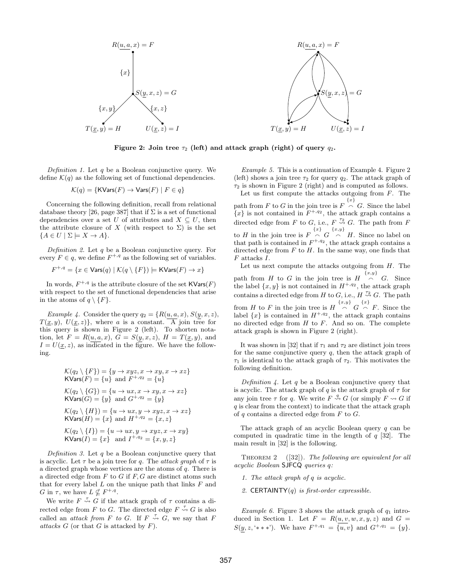

Figure 2: Join tree  $\tau_2$  (left) and attack graph (right) of query  $q_2$ .

Definition 1. Let  $q$  be a Boolean conjunctive query. We define  $\mathcal{K}(q)$  as the following set of functional dependencies.

$$
\mathcal{K}(q) = \{ \text{KVars}(F) \to \text{Vars}(F) \mid F \in q \}
$$

Concerning the following definition, recall from relational database theory [26, page 387] that if  $\Sigma$  is a set of functional dependencies over a set U of attributes and  $X \subseteq U$ , then the attribute closure of X (with respect to  $\Sigma$ ) is the set  ${A \in U \mid \Sigma \models X \rightarrow A}.$ 

Definition 2. Let  $q$  be a Boolean conjunctive query. For every  $F \in q$ , we define  $F^{+,q}$  as the following set of variables.

$$
F^{+,q} = \{ x \in \text{Vars}(q) \mid \mathcal{K}(q \setminus \{F\}) \models \text{KVars}(F) \to x \}
$$

In words,  $F^{+,q}$  is the attribute closure of the set  $\mathsf{KVars}(F)$ with respect to the set of functional dependencies that arise in the atoms of  $q \setminus \{F\}.$ 

Example 4. Consider the query  $q_2 = \{R(u, a, x), S(y, x, z),\}$  $T(\underline{x}, y)$ ,  $U(\underline{x}, z)$ , where a is a constant. A join tree for this query is shown in Figure 2 (left). To shorten notation, let  $F = R(u, a, x)$ ,  $G = S(y, x, z)$ ,  $H = T(\underline{x}, y)$ , and  $I = U(\underline{x}, z)$ , as indicated in the figure. We have the following.

$$
\mathcal{K}(q_2 \setminus \{F\}) = \{y \to xyz, x \to xy, x \to xz\}
$$
  
\nKVars(F) = \{u\} and F<sup>+, q\_2</sup> = \{u\}  
\n
$$
\mathcal{K}(q_2 \setminus \{G\}) = \{u \to ux, x \to xy, x \to xz\}
$$
  
\nKVars(G) = \{y\} and G<sup>+, q\_2</sup> = \{y\}  
\n
$$
\mathcal{K}(q_2 \setminus \{H\}) = \{u \to ux, y \to xyz, x \to xz\}
$$
  
\nKVars(H) = \{x\} and H<sup>+, q\_2</sup> = \{x, z\}  
\n
$$
\mathcal{K}(q_2 \setminus \{I\}) = \{u \to ux, y \to xyz, x \to xy\}
$$
  
\nKVars(I) = \{x\} and I<sup>+, q\_2</sup> = \{x, y, z\}

Definition 3. Let q be a Boolean conjunctive query that is acyclic. Let  $\tau$  be a join tree for q. The *attack graph* of  $\tau$  is a directed graph whose vertices are the atoms of q. There is a directed edge from  $F$  to  $G$  if  $F$ ,  $G$  are distinct atoms such that for every label  $L$  on the unique path that links  $F$  and G in  $\tau$ , we have  $L \nsubseteq F^{+,q}$ .

We write  $F \stackrel{\tau}{\rightsquigarrow} G$  if the attack graph of  $\tau$  contains a directed edge from F to G. The directed edge  $F \stackrel{\tau}{\leadsto} G$  is also called an *attack from F to G*. If  $F \stackrel{\tau}{\leadsto} G$ , we say that F attacks  $G$  (or that  $G$  is attacked by  $F$ ).

Example 5. This is a continuation of Example 4. Figure 2 (left) shows a join tree  $\tau_2$  for query  $q_2$ . The attack graph of  $\tau_2$  is shown in Figure 2 (right) and is computed as follows.

Let us first compute the attacks outgoing from  $F$ . The path from F to G in the join tree is  $F \nightharpoonup G$ . Since the label  $\{x\}$  is not contained in  $F^{+,q_2}$ , the attack graph contains a directed edge from F to G, i.e.,  $F \stackrel{\tau_2}{\leadsto} G$ . The path from F to H in the join tree is  $F \stackrel{\{x\}}{\curvearrowright} G \stackrel{\{x,y\}}{\curvearrowright} H$ . Since no label on that path is contained in  $F^{+,q_2}$ , the attack graph contains a directed edge from  $F$  to  $H$ . In the same way, one finds that F attacks I.

Let us next compute the attacks outgoing from  $H$ . The path from H to G in the join tree is  $H \stackrel{\{x,y\}}{\curvearrowright} G$ . Since the label  $\{x, y\}$  is not contained in  $H^{+,q_2}$ , the attack graph contains a directed edge from H to G, i.e.,  $H \stackrel{\tau_2}{\leadsto} G$ . The path from H to F in the join tree is  $H \stackrel{\{x,y\}}{\frown} G \stackrel{\{x\}}{\frown} F$ . Since the label  $\{x\}$  is contained in  $H^{+,q_2}$ , the attack graph contains no directed edge from  $H$  to  $F$ . And so on. The complete attack graph is shown in Figure 2 (right).

It was shown in [32] that if  $\tau_1$  and  $\tau_2$  are distinct join trees for the same conjunctive query  $q$ , then the attack graph of  $\tau_1$  is identical to the attack graph of  $\tau_2$ . This motivates the following definition.

Definition  $\lambda$ . Let q be a Boolean conjunctive query that is acyclic. The attack graph of q is the attack graph of  $\tau$  for any join tree  $\tau$  for q. We write  $F \stackrel{q}{\leadsto} G$  (or simply  $F \rightsquigarrow G$  if  $q$  is clear from the context) to indicate that the attack graph of  $q$  contains a directed edge from  $F$  to  $G$ .

The attack graph of an acyclic Boolean query  $q$  can be computed in quadratic time in the length of  $q$  [32]. The main result in [32] is the following.

THEOREM 2  $([32])$ . The following are equivalent for all acyclic Boolean SJFCQ queries q:

1. The attack graph of q is acyclic.

2. CERTAINTY $(q)$  is first-order expressible.

Example 6. Figure 3 shows the attack graph of  $q_1$  introduced in Section 1. Let  $F = R(u, v, w, x, y, z)$  and  $G =$  $S(y, z, '***')$ . We have  $F^{+,q_1} = \{u, v\}$  and  $G^{+,q_1} = \{y\}.$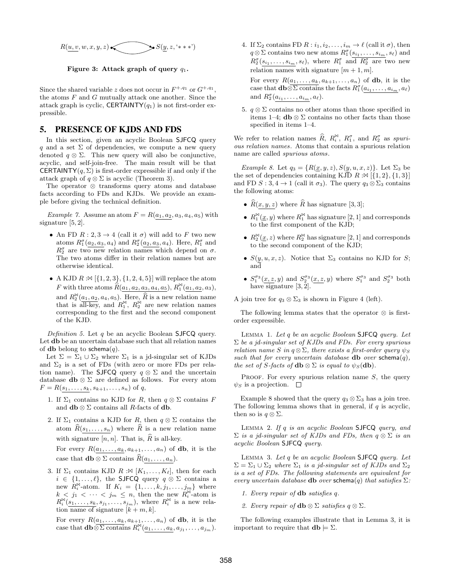

Figure 3: Attack graph of query  $q_1$ .

Since the shared variable z does not occur in  $F^{+,q_1}$  or  $G^{+,q_1}$ , the atoms  $F$  and  $G$  mutually attack one another. Since the attack graph is cyclic, CERTAINTY $(q_1)$  is not first-order expressible.

## 5. PRESENCE OF KJDS AND FDS

In this section, given an acyclic Boolean SJFCQ query q and a set  $\Sigma$  of dependencies, we compute a new query denoted  $q \otimes \Sigma$ . This new query will also be conjunctive, acyclic, and self-join-free. The main result will be that **CERTAINTY** $(q, \Sigma)$  is first-order expressible if and only if the attack graph of  $q \otimes \Sigma$  is acyclic (Theorem 3).

The operator ⊗ transforms query atoms and database facts according to FDs and KJDs. We provide an example before giving the technical definition.

Example 7. Assume an atom  $F = R(a_1, a_2, a_3, a_4, a_5)$  with signature [5, 2].

- An FD  $R: 2, 3 \rightarrow 4$  (call it  $\sigma$ ) will add to F two new atoms  $R_1^{\sigma}(a_2, a_3, a_4)$  and  $R_2^{\sigma}(a_2, a_3, a_4)$ . Here,  $R_1^{\sigma}$  and  $R_2^{\sigma}$  are two new relation names which depend on  $\sigma$ . The two atoms differ in their relation names but are otherwise identical.
- A KJD  $R : \mathbb{N} \left[ \{1, 2, 3\}, \{1, 2, 4, 5\} \right]$  will replace the atom F with three atoms  $\hat{R}(\underline{a_1}, \underline{a_2}, \underline{a_3}, \underline{a_4}, \underline{a_5}), R_1^{\bowtie}(\underline{a_1}, \underline{a_2}, \underline{a_3}),$ and  $R_2^{\bowtie}(\underline{a_1}, \underline{a_2}, a_4, a_5)$ . Here,  $\widehat{R}$  is a new relation name that is all-key, and  $R_1^{\bowtie}$ ,  $R_2^{\bowtie}$  are new relation names corresponding to the first and the second component of the KJD.

Definition 5. Let  $q$  be an acyclic Boolean SJFCQ query. Let db be an uncertain database such that all relation names of db belong to schema $(q)$ .

Let  $\Sigma = \Sigma_1 \cup \Sigma_2$  where  $\Sigma_1$  is a jd-singular set of KJDs and  $\Sigma_2$  is a set of FDs (with zero or more FDs per relation name). The SJFCQ query  $q \otimes \Sigma$  and the uncertain database **db**  $\otimes \Sigma$  are defined as follows. For every atom  $F = R(s_1, \ldots, s_k, s_{k+1}, \ldots, s_n)$  of q,

- 1. If  $\Sigma_1$  contains no KJD for R, then  $q \otimes \Sigma$  contains F and  $\mathbf{db} \otimes \Sigma$  contains all R-facts of  $\mathbf{db}$ .
- 2. If  $\Sigma_1$  contains a KJD for R, then  $q \otimes \Sigma$  contains the atom  $\widehat{R}(s_1, \ldots, s_n)$  where  $\widehat{R}$  is a new relation name with signature  $[n, n]$ . That is,  $\widehat{R}$  is all-key. For every  $R(a_1, \ldots, a_k, a_{k+1}, \ldots, a_n)$  of **db**, it is the

case that  $\mathbf{db} \otimes \Sigma$  contains  $\widehat{R}(a_1, \ldots, a_n)$ .

3. If  $\Sigma_1$  contains KJD  $R : \mathbb{N}$  [ $K_1, \ldots, K_\ell$ ], then for each  $i \in \{1, \ldots, \ell\}$ , the SJFCQ query  $q \otimes \Sigma$  contains a new  $R_i^{\bowtie}$ -atom. If  $K_i = \{1, \ldots, k, j_1, \ldots, j_m\}$  where  $k < j_1 < \cdots < j_m \le n$ , then the new  $R_i^{\bowtie}$ -atom is  $R_i^{\bowtie}(s_1,\ldots,s_k,s_{j_1},\ldots,s_{j_m}),$  where  $R_i^{\bowtie}$  is a new relation name of signature  $[k+m, k]$ .

For every  $R(a_1, \ldots, a_k, a_{k+1}, \ldots, a_n)$  of **db**, it is the case that  $\mathbf{db} \otimes \Sigma$  contains  $R_i^{\bowtie}(a_1, \ldots, a_k, a_{j_1}, \ldots, a_{j_m}).$  4. If  $\Sigma_2$  contains FD  $R: i_1, i_2, \ldots, i_m \to \ell$  (call it  $\sigma$ ), then  $q \otimes \Sigma$  contains two new atoms  $R_1^{\sigma}(s_{i_1}, \ldots, s_{i_m}, s_\ell)$  and  $R_2^{\sigma}(s_{i_1},...,s_{i_m},s_\ell)$ , where  $R_1^{\sigma}$  and  $R_2^{\sigma}$  are two new relation names with signature  $[m + 1, m]$ .

For every  $R(a_1, \ldots, a_k, a_{k+1}, \ldots, a_n)$  of **db**, it is the case that  $\mathbf{db} \otimes \overline{\Sigma \text{ contains the facts } R_1^{\sigma}(a_{i_1}, \ldots, a_{i_m}, a_\ell)}$ and  $R_2^{\sigma}(a_{i_1},\ldots,a_{i_m},a_\ell)$ .

5.  $q \otimes \Sigma$  contains no other atoms than those specified in items 1–4;  $\mathbf{db} \otimes \Sigma$  contains no other facts than those specified in items 1–4.

We refer to relation names  $\widehat{R}$ ,  $R_i^{\bowtie}$ ,  $R_1^{\sigma}$ , and  $R_2^{\sigma}$  as spurious relation names. Atoms that contain a spurious relation name are called spurious atoms.

Example 8. Let  $q_3 = \{R(\underline{x}, y, z), S(y, u, x, z)\}.$  Let  $\Sigma_3$  be the set of dependencies containing KJD  $R : \mathbb{N}$  [{1, 2}, {1, 3}] and FD  $S: 3, 4 \to 1$  (call it  $\sigma_3$ ). The query  $q_3 \otimes \Sigma_3$  contains the following atoms:

- $\hat{R}(x, y, z)$  where  $\hat{R}$  has signature [3, 3];
- $R_1^{\bowtie}(\underline{x}, y)$  where  $R_1^{\bowtie}$  has signature [2, 1] and corresponds to the first component of the KJD;
- $R_2^{\bowtie}(\underline{x}, z)$  where  $R_2^{\bowtie}$  has signature [2, 1] and corresponds to the second component of the KJD;
- $S(\underline{y}, u, x, z)$ . Notice that  $\Sigma_3$  contains no KJD for  $S$ ; and
- $S_1^{\sigma_3}(x, z, y)$  and  $S_2^{\sigma_3}(x, z, y)$  where  $S_1^{\sigma_3}$  and  $S_2^{\sigma_3}$  both have signature [3, 2].

A join tree for  $q_3 \otimes \Sigma_3$  is shown in Figure 4 (left).

The following lemma states that the operator ⊗ is firstorder expressible.

Lemma 1. Let q be an acyclic Boolean SJFCQ query. Let  $\Sigma$  be a jd-singular set of KJDs and FDs. For every spurious relation name S in  $q \otimes \Sigma$ , there exists a first-order query  $\psi_S$ such that for every uncertain database db over schema $(q)$ , the set of S-facts of  $\mathbf{db} \otimes \Sigma$  is equal to  $\psi_S(\mathbf{db})$ .

PROOF. For every spurious relation name  $S$ , the query  $\psi_S$  is a projection.  $\square$ 

Example 8 showed that the query  $q_3 \otimes \Sigma_3$  has a join tree. The following lemma shows that in general, if  $q$  is acyclic, then so is  $q \otimes \Sigma$ .

LEMMA 2. If  $q$  is an acyclic Boolean SJFCQ query, and  $\Sigma$  is a jd-singular set of KJDs and FDs, then  $q \otimes \Sigma$  is an acyclic Boolean SJFCQ query.

LEMMA 3. Let  $q$  be an acyclic Boolean SJFCQ query. Let  $\Sigma = \Sigma_1 \cup \Sigma_2$  where  $\Sigma_1$  is a jd-singular set of KJDs and  $\Sigma_2$ is a set of FDs. The following statements are equivalent for every uncertain database db over schema $(q)$  that satisfies  $\Sigma$ :

- 1. Every repair of db satisfies q.
- 2. Every repair of  $\mathbf{db} \otimes \Sigma$  satisfies  $q \otimes \Sigma$ .

The following examples illustrate that in Lemma 3, it is important to require that  $\mathbf{db} \models \Sigma$ .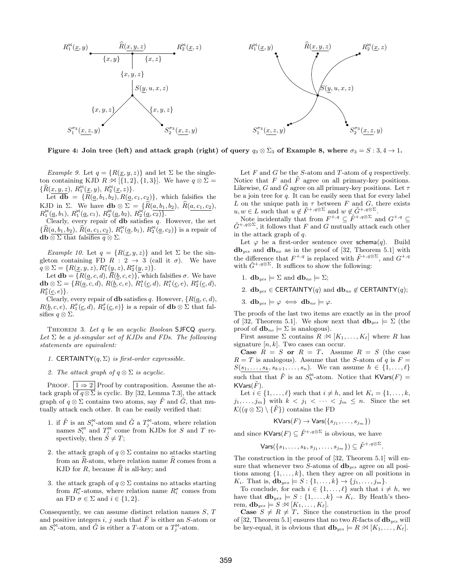

Figure 4: Join tree (left) and attack graph (right) of query  $q_3 \otimes \Sigma_3$  of Example 8, where  $\sigma_3 = S : 3, 4 \rightarrow 1$ .

Example 9. Let  $q = \{R(\underline{x}, y, z)\}\$ and let  $\Sigma$  be the singleton containing KJD  $R : \mathbb{M} [\{1, 2\}, \{1, 3\}]$ . We have  $q \otimes \Sigma =$  $\{\widehat{R}(\underline{x},\underline{y},\underline{z}),\,R^\bowtie_1(\underline{x},y),\,R^\bowtie_2(\underline{x},z)\}.$ 

Let  $\overline{\mathbf{db}} = \{R(\underline{a}, b_1, b_2), R(\underline{a}, c_1, c_2)\},\$  which falsifies the KJD in  $\Sigma$ . We have **db**  $\otimes \Sigma = {\hat{R}(a, b_1, b_2), \hat{R}(a, c_1, c_2)},$  $R_1^{\bowtie}(\underline{a},b_1), R_1^{\bowtie}(\underline{a},c_1), R_2^{\bowtie}(\underline{a},b_2), R_2^{\bowtie}(\underline{a},c_2)$ .

Clearly, every repair of  $\bf{db}$  satisfies q. However, the set  $\{\widehat{R}(\underline{a}, \underline{b_1}, \underline{b_2}), \, \widehat{R}(\underline{a}, \underline{c_1}, \underline{c_2}), \, R_1^{\bowtie}(\underline{a}, \underline{b_1}), \, R_2^{\bowtie}(\underline{a}, \underline{c_2})\}$  is a repair of  $\mathbf{db} \otimes \Sigma$  that falsifies  $q \otimes \Sigma$ .

Example 10. Let  $q = \{R(\underline{x}, y, z)\}\$ and let  $\Sigma$  be the singleton containing FD  $R: 2 \rightarrow 3$  (call it  $\sigma$ ). We have  $q \otimes \Sigma = \{R(\underline{x}, y, z), R_1^{\sigma}(y, z), R_2^{\sigma}(y, z)\}.$ 

Let  $\mathbf{db} = \{R(\underline{a}, c, d), R(\underline{b}, c, e)\},\$  which falsifies  $\sigma$ . We have  $\mathbf{db} \otimes \Sigma = \{ R(\underline{a}, c, d), R(\underline{b}, c, e), R_1^{\sigma}(\underline{c}, d), R_1^{\sigma}(\underline{c}, e), R_2^{\sigma}(\underline{c}, d),$  $R_2^{\sigma}(\underline{c},e)\}.$ 

Clearly, every repair of **db** satisfies q. However,  $\{R(\underline{a}, c, d),\}$  $R(\underline{b}, c, e), R_1^{\sigma}(\underline{c}, d), R_2^{\sigma}(\underline{c}, e)$  is a repair of  $\mathbf{db} \otimes \Sigma$  that falsifies  $q \otimes \Sigma$ .

Theorem 3. Let q be an acyclic Boolean SJFCQ query. Let  $\Sigma$  be a jd-singular set of KJDs and FDs. The following statements are equivalent:

- 1. CERTAINTY $(q, \Sigma)$  is first-order expressible.
- 2. The attack graph of  $q \otimes \Sigma$  is acyclic.

PROOF.  $|1 \Rightarrow 2|$  Proof by contraposition. Assume the attack graph of  $q \otimes \overline{\Sigma}$  is cyclic. By [32, Lemma 7.3], the attack graph of  $q \otimes \Sigma$  contains two atoms, say  $\tilde{F}$  and  $\tilde{G}$ , that mutually attack each other. It can be easily verified that:

- 1. if  $\tilde{F}$  is an  $S_i^{\bowtie}$ -atom and  $\tilde{G}$  a  $T_j^{\bowtie}$ -atom, where relation names  $S_i^{\bowtie}$  and  $T_j^{\bowtie}$  come from KJDs for S and T respectively, then  $S \neq T$ ;
- 2. the attack graph of  $q \otimes \Sigma$  contains no attacks starting from an  $R$ -atom, where relation name  $R$  comes from a KJD for  $R$ , because  $\overline{R}$  is all-key; and
- 3. the attack graph of  $q \otimes \Sigma$  contains no attacks starting from  $R_i^{\sigma}$ -atoms, where relation name  $R_i^{\sigma}$  comes from an FD  $\sigma \in \Sigma$  and  $i \in \{1, 2\}.$

Consequently, we can assume distinct relation names  $S, T$ and positive integers  $i, j$  such that  $F$  is either an  $S$ -atom or an  $S_i^{\bowtie}$ -atom, and  $\widetilde{G}$  is either a T-atom or a  $T_j^{\bowtie}$ -atom.

Let  $F$  and  $G$  be the S-atom and T-atom of  $q$  respectively. Notice that  $F$  and  $\tilde{F}$  agree on all primary-key positions. Likewise, G and G agree on all primary-key positions. Let  $\tau$ be a join tree for  $q$ . It can be easily seen that for every label L on the unique path in  $\tau$  between F and G, there exists  $u, w \in L$  such that  $u \notin \tilde{F}^{+, q \otimes \Sigma}$  and  $w \notin \tilde{G}^{+, q \otimes \Sigma}$ .

Note incidentally that from  $F^{+,q} \subseteq \tilde{F}^{+,q \otimes \Sigma}$  and  $G^{+,q} \subseteq$  $\tilde{G}^{+,q\otimes\Sigma}$ , it follows that F and G mutually attack each other in the attack graph of  $q$ .

Let  $\varphi$  be a first-order sentence over schema $(q)$ . Build  $db_{yes}$  and  $db_{no}$  as in the proof of [32, Theorem 5.1] with the difference that  $F^{+,q}$  is replaced with  $\tilde{F}^{+,q\otimes\Sigma}$ , and  $G^{+,q}$ with  $\tilde{G}^{+,q\otimes\Sigma}$ . It suffices to show the following:

- 1.  $\mathbf{db}_{yes} \models \Sigma$  and  $\mathbf{db}_{no} \models \Sigma$ ;
- 2.  $db_{yes} \in \text{CERTAINTY}(q)$  and  $db_{no} \notin \text{CERTAINTY}(q)$ ;
- 3.  $db_{\text{yes}} \models \varphi \iff db_{\text{no}} \models \varphi$ .

The proofs of the last two items are exactly as in the proof of [32, Theorem 5.1]. We show next that  $\mathbf{db}_{yes} \models \Sigma$  (the proof of  $\mathbf{db}_{no} \models \Sigma$  is analogous).

First assume  $\Sigma$  contains  $R : \mathbb{N} [K_1, \ldots, K_\ell]$  where R has signature  $[n, k]$ . Two cases can occur.

Case  $R = S$  or  $R = T$ . Assume  $R = S$  (the case  $R = T$  is analogous). Assume that the S-atom of q is  $F =$  $S(s_1, \ldots, s_k, s_{k+1}, \ldots, s_n)$ . We can assume  $h \in \{1, \ldots, \ell\}$ such that that  $\tilde{F}$  is an  $S_h^{\bowtie}$ -atom. Notice that  $\mathsf{KVars}(F)$  =  $KVars(F)$ .

Let  $i \in \{1, \ldots, \ell\}$  such that  $i \neq h$ , and let  $K_i = \{1, \ldots, k\}$  $j_1, \ldots, j_m$  with  $k < j_1 < \cdots < j_m \leq n$ . Since the set  $\mathcal{K}((q\otimes \Sigma)\setminus {\{\tilde{F}\}})$  contains the FD

$$
\mathsf{KVars}(F) \to \mathsf{Vars}(\{s_{j_1}, \ldots, s_{j_m}\})
$$

and since  $\textsf{KVars}(F) \subseteq \tilde{F}^{+,q \otimes \Sigma}$  is obvious, we have

 $\mathsf{Vars}(\{s_1,\ldots,s_k,s_{j_1},\ldots,s_{j_m}\}) \subseteq \tilde{F}^{+,q \otimes \Sigma}.$ 

The construction in the proof of [32, Theorem 5.1] will ensure that whenever two S-atoms of  $db_{yes}$  agree on all positions among  $\{1, \ldots, k\}$ , then they agree on all positions in  $K_i$ . That is,  $$ 

To conclude, for each  $i \in \{1, \ldots, \ell\}$  such that  $i \neq h$ , we have that  $\mathbf{db}_{yes} \models S : \{1, \ldots, k\} \rightarrow K_i$ . By Heath's theorem,  $\mathbf{db}_{yes} \models S : \mathfrak{A}[K_1, \ldots, K_\ell].$ 

**Case**  $S \neq R \neq T$ . Since the construction in the proof of [32, Theorem 5.1] ensures that no two R-facts of  $\mathbf{db}_{yes}$  will be key-equal, it is obvious that  $\mathbf{db}_{yes} \models R : \mathbb{X} [K_1, \dots, K_\ell].$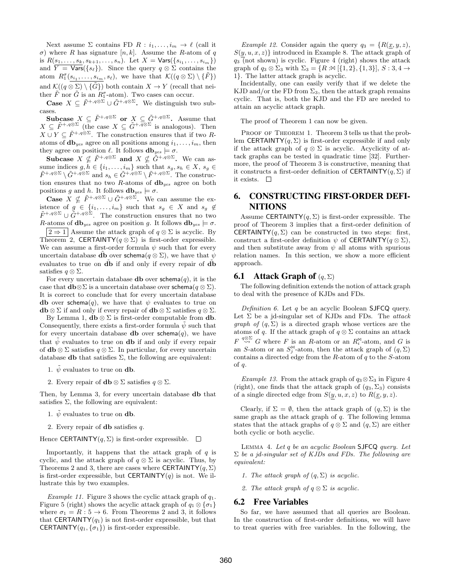Next assume  $\Sigma$  contains FD  $R : i_1, \ldots, i_m \to \ell$  (call it σ) where R has signature  $[n, k]$ . Assume the R-atom of q is  $R(s_1, ..., s_k, s_{k+1}, ..., s_n)$ . Let  $X = \text{Vars}(\{s_{i_1}, ..., s_{i_m}\})$ and  $\overline{Y} = \text{Vars}(\{s_\ell\})$ . Since the query  $q \otimes \Sigma$  contains the atom  $R_1^{\sigma}(s_{i_1},...,s_{i_m},s_\ell)$ , we have that  $\mathcal{K}((q\otimes \Sigma)\setminus {\{\tilde{F}\}})$ and  $\mathcal{K}((q \otimes \Sigma) \setminus {\{\tilde{G}\}})$  both contain  $X \to Y$  (recall that neither  $\tilde{F}$  nor  $\tilde{G}$  is an  $R_1^{\sigma}$ -atom). Two cases can occur.

**Case**  $X \subseteq \tilde{F}^{+,q\otimes\Sigma} \cup \tilde{G}^{+,q\otimes\Sigma}$ . We distinguish two subcases.

Subcase  $X \subseteq \tilde{F}^{+,q\otimes\Sigma}$  or  $X \subseteq \tilde{G}^{+,q\otimes\Sigma}$ . Assume that  $X \subseteq \tilde{F}^{+,q\otimes\Sigma}$  (the case  $X \subseteq \tilde{G}^{+,q\otimes\Sigma}$  is analogous). Then  $X \cup Y \subseteq \tilde{F}^{+,q\otimes\Sigma}$ . The construction ensures that if two Ratoms of  $\mathbf{db}_{yes}$  agree on all positions among  $i_1, \ldots, i_m$ , then they agree on position  $\ell$ . It follows  $d\mathbf{b}_{yes} \models \sigma$ .

Subcase  $X \nsubseteq \tilde{F}^{+,q\otimes\Sigma}$  and  $X \nsubseteq \tilde{G}^{+,q\otimes\Sigma}$ . We can assume indices  $g, h \in \{i_1, \ldots, i_m\}$  such that  $s_g, s_h \in X$ ,  $s_g \in$  $\tilde{F}^{+,q\otimes\Sigma}\setminus \tilde{G}^{+,q\otimes\Sigma}$  and  $s_h\in \tilde{G}^{+,q\otimes\Sigma}\setminus \tilde{F}^{+,q\otimes\Sigma}$ . The construction ensures that no two  $R$ -atoms of  $db_{yes}$  agree on both positions g and h. It follows  $d\mathbf{b}_{yes} \models \sigma$ .

**Case**  $X \nsubseteq \tilde{F}^{+,q\otimes\Sigma} \cup \tilde{G}^{+,q\otimes\Sigma}$ . We can assume the existence of  $g \in \{i_1, \ldots, i_m\}$  such that  $s_g \in X$  and  $s_g \notin$  $\tilde{F}^{+,q\otimes\Sigma} \cup \tilde{G}^{+,q\otimes\Sigma}$ . The construction ensures that no two R-atoms of  $\mathbf{db}_{yes}$  agree on position g. It follows  $\mathbf{db}_{yes} \models \sigma$ .  $|2 \Rightarrow 1|$  Assume the attack graph of  $q \otimes \Sigma$  is acyclic. By Theorem 2, CERTAINTY( $q \otimes \Sigma$ ) is first-order expressible. We can assume a first-order formula  $\psi$  such that for every uncertain database d**b** over schema( $q \otimes \Sigma$ ), we have that  $\psi$ evaluates to true on  $\tilde{d}$  if and only if every repair of  $\tilde{d}$ satisfies  $q \otimes \Sigma$ .

For every uncertain database **db** over  $\mathsf{schema}(q)$ , it is the case that  **is a uncertain database over schema(** $q \otimes \Sigma$ **).** It is correct to conclude that for every uncertain database db over schema(q), we have that  $\psi$  evaluates to true on  $\mathbf{db} \otimes \Sigma$  if and only if every repair of  $\mathbf{db} \otimes \Sigma$  satisfies  $q \otimes \Sigma$ .

By Lemma 1,  $\mathbf{db} \otimes \Sigma$  is first-order computable from  $\mathbf{db}$ . Consequently, there exists a first-order formula  $\psi$  such that for every uncertain database **db** over schema $(q)$ , we have that  $\tilde{\psi}$  evaluates to true on **db** if and only if every repair of  $\mathbf{db} \otimes \Sigma$  satisfies  $q \otimes \Sigma$ . In particular, for every uncertain database **db** that satisfies  $\Sigma$ , the following are equivalent:

- 1.  $\psi$  evaluates to true on **db**.
- 2. Every repair of  $\mathbf{db} \otimes \Sigma$  satisfies  $q \otimes \Sigma$ .

Then, by Lemma 3, for every uncertain database db that satisfies  $\Sigma$ , the following are equivalent:

- 1.  $\tilde{\psi}$  evaluates to true on **db**.
- 2. Every repair of **db** satisfies  $q$ .

Hence CERTAINTY(q,  $\Sigma$ ) is first-order expressible.  $\Box$ 

Importantly, it happens that the attack graph of  $q$  is cyclic, and the attack graph of  $q \otimes \Sigma$  is acyclic. Thus, by Theorems 2 and 3, there are cases where CERTAINTY( $q, \Sigma$ ) is first-order expressible, but CERTAINTY $(q)$  is not. We illustrate this by two examples.

Example 11. Figure 3 shows the cyclic attack graph of  $q_1$ . Figure 5 (right) shows the acyclic attack graph of  $q_1 \otimes {\sigma_1}$ where  $\sigma_1 = R : 5 \rightarrow 6$ . From Theorems 2 and 3, it follows that CERTAINTY $(q_1)$  is not first-order expressible, but that **CERTAINTY** $(q_1, \{\sigma_1\})$  is first-order expressible.

*Example 12.* Consider again the query  $q_3 = \{R(\underline{x}, y, z),\}$  $S(y, u, x, z)$  introduced in Example 8. The attack graph of  $q_3$  (not shown) is cyclic. Figure 4 (right) shows the attack graph of  $q_3 \otimes \Sigma_3$  with  $\Sigma_3 = \{R : \mathfrak{A} [\{1,2\}, \{1,3\}], S : 3,4 \rightarrow \Sigma_3 \}$ 1}. The latter attack graph is acyclic.

Incidentally, one can easily verify that if we delete the KJD and/or the FD from  $\Sigma_3$ , then the attack graph remains cyclic. That is, both the KJD and the FD are needed to attain an acyclic attack graph.

The proof of Theorem 1 can now be given.

PROOF OF THEOREM 1. Theorem 3 tells us that the problem CERTAINTY $(q, \Sigma)$  is first-order expressible if and only if the attack graph of  $q \otimes \Sigma$  is acyclic. Acyclicity of attack graphs can be tested in quadratic time [32]. Furthermore, the proof of Theorem 3 is constructive, meaning that it constructs a first-order definition of CERTAINTY $(q, \Sigma)$  if it exists.  $\Box$ 

# 6. CONSTRUCTING FIRST-ORDER DEFI-NITIONS

Assume CERTAINTY $(q, \Sigma)$  is first-order expressible. The proof of Theorem 3 implies that a first-order definition of **CERTAINTY** $(q, \Sigma)$  can be constructed in two steps: first, construct a first-order definition  $\psi$  of CERTAINTY( $q \otimes \Sigma$ ), and then substitute away from  $\psi$  all atoms with spurious relation names. In this section, we show a more efficient approach.

#### **6.1** Attack Graph of  $(q, \Sigma)$

The following definition extends the notion of attack graph to deal with the presence of KJDs and FDs.

Definition 6. Let  $q$  be an acyclic Boolean SJFCQ query. Let  $\Sigma$  be a jd-singular set of KJDs and FDs. The attack *graph of*  $(q, \Sigma)$  is a directed graph whose vertices are the atoms of q. If the attack graph of  $q \otimes \Sigma$  contains an attack  $F \stackrel{q\otimes \Sigma}{\leadsto} G$  where F is an R-atom or an  $R_i^{\bowtie}$ -atom, and G is an S-atom or an  $S_j^{\bowtie}$ -atom, then the attack graph of  $(q, \Sigma)$ contains a directed edge from the  $R$ -atom of  $q$  to the  $S$ -atom of  $\alpha$ .

Example 13. From the attack graph of  $q_3 \otimes \Sigma_3$  in Figure 4 (right), one finds that the attack graph of  $(q_3, \Sigma_3)$  consists of a single directed edge from  $S(y, u, x, z)$  to  $R(\underline{x}, y, z)$ .

Clearly, if  $\Sigma = \emptyset$ , then the attack graph of  $(q, \Sigma)$  is the same graph as the attack graph of  $q$ . The following lemma states that the attack graphs of  $q \otimes \Sigma$  and  $(q, \Sigma)$  are either both cyclic or both acyclic.

Lemma 4. Let q be an acyclic Boolean SJFCQ query. Let  $\Sigma$  be a jd-singular set of KJDs and FDs. The following are equivalent:

- 1. The attack graph of  $(q, \Sigma)$  is acyclic.
- 2. The attack graph of  $q \otimes \Sigma$  is acyclic.

#### 6.2 Free Variables

So far, we have assumed that all queries are Boolean. In the construction of first-order definitions, we will have to treat queries with free variables. In the following, the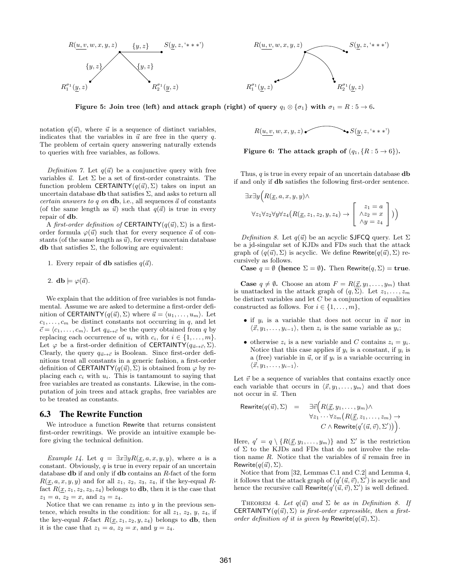

 $R(u, v, w, x, y, z)$  $R_1^{\sigma_1}(y,z)$  R  $\frac{\sigma_1}{2}(\underline{y},z)$ 

Figure 5: Join tree (left) and attack graph (right) of query  $q_1 \otimes \{q_1\}$  with  $\sigma_1 = R : 5 \to 6$ .

notation  $q(\vec{u})$ , where  $\vec{u}$  is a sequence of distinct variables, indicates that the variables in  $\vec{u}$  are free in the query q. The problem of certain query answering naturally extends to queries with free variables, as follows.

Definition 7. Let  $q(\vec{u})$  be a conjunctive query with free variables  $\vec{u}$ . Let  $\Sigma$  be a set of first-order constraints. The function problem CERTAINTY( $q(\vec{u}), \Sigma$ ) takes on input an uncertain database **db** that satisfies  $\Sigma$ , and asks to return all certain answers to q on db, i.e., all sequences  $\vec{a}$  of constants (of the same length as  $\vec{u}$ ) such that  $q(\vec{a})$  is true in every repair of db.

A first-order definition of CERTAINTY( $q(\vec{u}), \Sigma$ ) is a firstorder formula  $\varphi(\vec{u})$  such that for every sequence  $\vec{a}$  of constants (of the same length as  $\vec{u}$ ), for every uncertain database db that satisfies  $\Sigma$ , the following are equivalent:

- 1. Every repair of **db** satisfies  $q(\vec{a})$ .
- 2. db  $\models \varphi(\vec{a})$ .

We explain that the addition of free variables is not fundamental. Assume we are asked to determine a first-order definition of CERTAINTY( $q(\vec{u}), \Sigma$ ) where  $\vec{u} = \langle u_1, \ldots, u_m \rangle$ . Let  $c_1, \ldots, c_m$  be distinct constants not occurring in q, and let  $\vec{c} = \langle c_1, \ldots, c_m \rangle$ . Let  $q_{\vec{u} \mapsto \vec{c}}$  be the query obtained from q by replacing each occurrence of  $u_i$  with  $c_i$ , for  $i \in \{1, \ldots, m\}$ . Let  $\varphi$  be a first-order definition of **CERTAINTY** $(q_{\vec{u}\mapsto\vec{c}}, \Sigma)$ . Clearly, the query  $q_{\vec{u}\mapsto\vec{c}}$  is Boolean. Since first-order definitions treat all constants in a generic fashion, a first-order definition of CERTAINTY( $q(\vec{u}), \Sigma$ ) is obtained from  $\varphi$  by replacing each  $c_i$  with  $u_i$ . This is tantamount to saying that free variables are treated as constants. Likewise, in the computation of join trees and attack graphs, free variables are to be treated as constants.

#### 6.3 The Rewrite Function

We introduce a function Rewrite that returns consistent first-order rewritings. We provide an intuitive example before giving the technical definition.

Example 14. Let  $q = \exists x \exists y R(\underline{x}, a, x, y, y)$ , where a is a constant. Obviously,  $q$  is true in every repair of an uncertain database db if and only if db contains an R-fact of the form  $R(x, a, x, y, y)$  and for all  $z_1, z_2, z_3, z_4$ , if the key-equal Rfact  $R(x, z_1, z_2, z_3, z_4)$  belongs to **db**, then it is the case that  $z_1 = a, z_2 = x, \text{ and } z_3 = z_4.$ 

Notice that we can rename  $z_3$  into y in the previous sentence, which results in the condition: for all  $z_1$ ,  $z_2$ ,  $y$ ,  $z_4$ , if the key-equal R-fact  $R(\underline{x}, z_1, z_2, y, z_4)$  belongs to **db**, then it is the case that  $z_1 = a, z_2 = x$ , and  $y = z_4$ .

$$
R(\underline{u},\underline{v},w,x,y,z) \longleftarrow{\bullet} S(\underline{y},z, ``***")
$$

Figure 6: The attack graph of 
$$
(q_1, \{R : 5 \to 6\})
$$
.

Thus,  $q$  is true in every repair of an uncertain database  $\bf{db}$ if and only if db satisfies the following first-order sentence.

$$
\exists x \exists y \Big( R(\underline{x}, a, x, y, y) \land \forall z_1 \forall z_2 \forall y \forall z_4 \Big( R(\underline{x}, z_1, z_2, y, z_4) \rightarrow \begin{bmatrix} z_1 = a \\ \wedge z_2 = x \\ \wedge y = z_4 \end{bmatrix} \Big) \Big)
$$

Definition 8. Let  $q(\vec{u})$  be an acyclic SJFCQ query. Let  $\Sigma$ be a jd-singular set of KJDs and FDs such that the attack graph of  $(q(\vec{u}), \Sigma)$  is acyclic. We define Rewrite $(q(\vec{u}), \Sigma)$  recursively as follows.

Case  $q = \emptyset$  (hence  $\Sigma = \emptyset$ ). Then Rewrite $(q, \Sigma) =$  true.

**Case**  $q \neq \emptyset$ . Choose an atom  $F = R(\underline{\vec{x}}, y_1, \dots, y_m)$  that is unattacked in the attack graph of  $(q, \Sigma)$ . Let  $z_1, \ldots, z_m$ be distinct variables and let  $C$  be a conjunction of equalities constructed as follows. For  $i \in \{1, \ldots, m\},\$ 

- if  $y_i$  is a variable that does not occur in  $\vec{u}$  nor in  $\langle \vec{x}, y_1, \ldots, y_{i-1} \rangle$ , then  $z_i$  is the same variable as  $y_i$ ;
- otherwise  $z_i$  is a new variable and C contains  $z_i = y_i$ . Notice that this case applies if  $y_i$  is a constant, if  $y_i$  is a (free) variable in  $\vec{u}$ , or if  $y_i$  is a variable occurring in  $\langle \vec{x}, y_1, \ldots, y_{i-1} \rangle$ .

Let  $\vec{v}$  be a sequence of variables that contains exactly once each variable that occurs in  $\langle \vec{x}, y_1, \ldots, y_m \rangle$  and that does not occur in  $\vec{u}$ . Then

$$
\begin{array}{rcl}\n\text{Rewrite}(q(\vec{u}), \Sigma) & = & \exists \vec{v} \Big( R(\vec{\underline{x}}, y_1, \dots, y_m) \land \\
& \forall z_1 \dots \forall z_m \big( R(\vec{\underline{x}}, z_1, \dots, z_m) \to \\
& C \land \text{Rewrite}(q'(\vec{u}, \vec{v}), \Sigma') \big) \Big). \n\end{array}
$$

Here,  $q' = q \setminus \{R(\underline{\vec{x}}, y_1, \ldots, y_m)\}\$ and  $\Sigma'$  is the restriction of Σ to the KJDs and FDs that do not involve the relation name R. Notice that the variables of  $\vec{u}$  remain free in Rewrite $(q(\vec{u}), \Sigma)$ .

Notice that from [32, Lemmas C.1 and C.2] and Lemma 4, it follows that the attack graph of  $(q'(\vec{u}, \vec{v}), \Sigma')$  is acyclic and hence the recursive call Rewrite $(q'(\vec{u}, \vec{v}), \Sigma')$  is well defined.

THEOREM 4. Let  $q(\vec{u})$  and  $\Sigma$  be as in Definition 8. If CERTAINTY $(q(\vec{u}), \Sigma)$  is first-order expressible, then a firstorder definition of it is given by Rewrite $(q(\vec{u}), \Sigma)$ .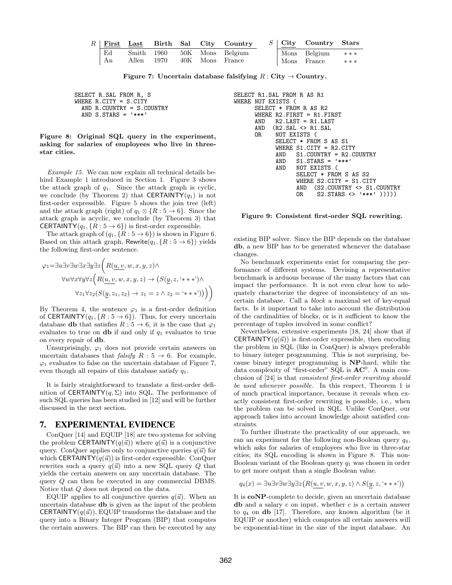|    |       |            |  | $R$ First Last Birth Sal City Country |  | $S$ City Country Stars      |     |
|----|-------|------------|--|---------------------------------------|--|-----------------------------|-----|
| Ed |       | Smith 1960 |  | 50K Mons Belgium                      |  | $\text{Mons}$ Belgium $***$ |     |
| An | Allen | 1970       |  | 40K Mons France                       |  | Mons France                 | *** |

Figure 7: Uncertain database falsifying  $R: City \rightarrow Country$ .

SELECT R.SAL FROM R, S WHERE R.CITY = S.CITY AND R.COUNTRY = S.COUNTRY AND  $S.STARS = '***'$ 

Figure 8: Original SQL query in the experiment, asking for salaries of employees who live in threestar cities.

Example 15. We can now explain all technical details behind Example 1 introduced in Section 1. Figure 3 shows the attack graph of  $q_1$ . Since the attack graph is cyclic, we conclude (by Theorem 2) that CERTAINTY( $q_1$ ) is not first-order expressible. Figure 5 shows the join tree (left) and the attack graph (right) of  $q_1 \otimes \{R : 5 \rightarrow 6\}$ . Since the attack graph is acyclic, we conclude (by Theorem 3) that **CERTAINTY** $(q_1, \{R : 5 \rightarrow 6\})$  is first-order expressible.

The attack graph of  $(q_1, {R : 5 \rightarrow 6})$  is shown in Figure 6. Based on this attack graph, Rewrite $(q_1, \{R : 5 \rightarrow 6\})$  yields the following first-order sentence.

$$
\varphi_1 = \exists u \exists v \exists w \exists x \exists y \exists z \Big( R(\underline{u}, v, w, x, y, z) \land
$$

$$
\forall w \forall x \forall y \forall z \Big( R(\underline{u}, v, w, x, y, z) \rightarrow (S(\underline{y}, z, '***)) \land
$$

$$
\forall z_1 \forall z_2 (S(\underline{y}, z_1, z_2) \rightarrow z_1 = z \land z_2 = '***)) \Big) \Big)
$$

By Theorem 4, the sentence  $\varphi_1$  is a first-order definition of CERTAINTY $(q_1, \{R : 5 \to 6\})$ . Thus, for every uncertain database **db** that satisfies  $R: 5 \rightarrow 6$ , it is the case that  $\varphi_1$ evaluates to true on  $\bf{db}$  if and only if  $q_1$  evaluates to true on every repair of db.

Unsurprisingly,  $\varphi_1$  does not provide certain answers on uncertain databases that *falsify*  $R : 5 \rightarrow 6$ . For example,  $\varphi_1$  evaluates to false on the uncertain database of Figure 7, even though all repairs of this database satisfy  $q_1$ .

It is fairly straightforward to translate a first-order definition of CERTAINTY $(q, \Sigma)$  into SQL. The performance of such SQL queries has been studied in [12] and will be further discussed in the next section.

# 7. EXPERIMENTAL EVIDENCE

ConQuer [14] and EQUIP [18] are two systems for solving the problem CERTAINTY( $q(\vec{u})$ ) where  $q(\vec{u})$  is a conjunctive query. ConQuer applies only to conjunctive queries  $q(\vec{u})$  for which CERTAINTY( $q(\vec{u})$ ) is first-order expressible. ConQuer rewrites such a query  $q(\vec{u})$  into a new SQL query Q that yields the certain answers on any uncertain database. The query Q can then be executed in any commercial DBMS. Notice that Q does not depend on the data.

EQUIP applies to all conjunctive queries  $q(\vec{u})$ . When an uncertain database db is given as the input of the problem **CERTAINTY** $(q(\vec{u}))$ , EQUIP transforms the database and the query into a Binary Integer Program (BIP) that computes the certain answers. The BIP can then be executed by any

```
SELECT R1.SAL FROM R AS R1
WHERE NOT EXISTS (
      SELECT * FROM R AS R2
      WHERE R2.FIRST = R1.FIRST<br>AND R2.LAST = R1.LAST
            R2. LAST = R1. LAST
      AND (R2.SAL <> R1.SAL
      OR NOT EXISTS (
             SELECT * FROM S AS S1
             WHERE S1.CITY = R2.CITY
            AND S1.COUNTRY = R2.COUNTRY
             AND S1.STARS = '***'AND NOT EXISTS (
                   SELECT * FROM S AS S2
                   WHERE S2.CITY = S1.CITY
                   AND (S2.COUNTRY <> S1.COUNTRY
                   OR S2.STARS <> '***' )))))
```
#### Figure 9: Consistent first-order SQL rewriting.

existing BIP solver. Since the BIP depends on the database db, a new BIP has to be generated whenever the database changes.

No benchmark experiments exist for comparing the performance of different systems. Devising a representative benchmark is arduous because of the many factors that can impact the performance. It is not even clear how to adequately characterize the degree of inconsistency of an uncertain database. Call a block a maximal set of key-equal facts. Is it important to take into account the distribution of the cardinalities of blocks, or is it sufficient to know the percentage of tuples involved in some conflict?

Nevertheless, extensive experiments [18, 24] show that if **CERTAINTY** $(q(\vec{u}))$  is first-order expressible, then encoding the problem in SQL (like in ConQuer) is always preferable to binary integer programming. This is not surprising, because binary integer programming is NP-hard, while the data complexity of "first-order"  $SQL$  is  $AC^0$ . A main conclusion of [24] is that consistent first-order rewriting should be used whenever possible. In this respect, Theorem 1 is of much practical importance, because it reveals when exactly consistent first-order rewriting is possible, i.e., when the problem can be solved in SQL. Unlike ConQuer, our approach takes into account knowledge about satisfied constraints.

To further illustrate the practicality of our approach, we ran an experiment for the following non-Boolean query  $q_4$ , which asks for salaries of employees who live in three-star cities; its SQL encoding is shown in Figure 8. This non-Boolean variant of the Boolean query  $q_1$  was chosen in order to get more output than a single Boolean value.

 $q_4(x) = \exists u \exists v \exists w \exists y \exists z (R(u, v, w, x, y, z) \wedge S(y, z, '***))$ 

It is coNP-complete to decide, given an uncertain database db and a salary  $c$  on input, whether  $c$  is a certain answer to  $q_4$  on **db** [17]. Therefore, any known algorithm (be it EQUIP or another) which computes all certain answers will be exponential-time in the size of the input database. An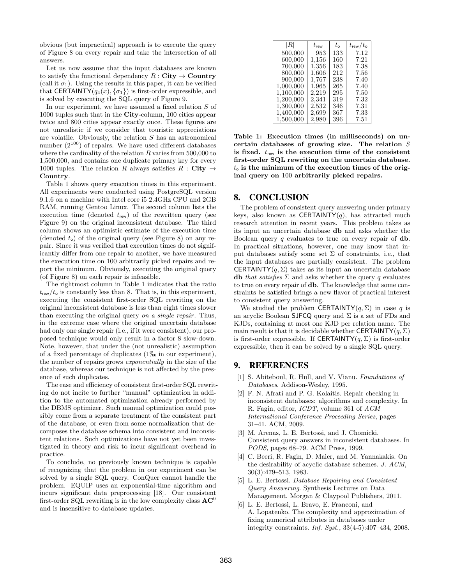obvious (but impractical) approach is to execute the query of Figure 8 on every repair and take the intersection of all answers.

Let us now assume that the input databases are known to satisfy the functional dependency  $R : City \rightarrow Country$ (call it  $\sigma_1$ ). Using the results in this paper, it can be verified that CERTAINTY( $q_4(x), \{\sigma_1\}$ ) is first-order expressible, and is solved by executing the SQL query of Figure 9.

In our experiment, we have assumed a fixed relation S of 1000 tuples such that in the City-column, 100 cities appear twice and 800 cities appear exactly once. These figures are not unrealistic if we consider that touristic appreciations are volatile. Obviously, the relation  $S$  has an astronomical number  $(2^{100})$  of repairs. We have used different databases where the cardinality of the relation  $R$  varies from 500,000 to 1,500,000, and contains one duplicate primary key for every 1000 tuples. The relation R always satisfies  $R : City \rightarrow$ Country.

Table 1 shows query execution times in this experiment. All experiments were conducted using PostgreSQL version 9.1.6 on a machine with Intel core i5 2.4GHz CPU and 2GB RAM, running Gentoo Linux. The second column lists the execution time (denoted  $t_{\text{rew}}$ ) of the rewritten query (see Figure 9) on the original inconsistent database. The third column shows an optimistic estimate of the execution time (denoted  $t_0$ ) of the original query (see Figure 8) on any repair. Since it was verified that execution times do not significantly differ from one repair to another, we have measured the execution time on 100 arbitrarily picked repairs and report the minimum. Obviously, executing the original query (of Figure 8) on each repair is infeasible.

The rightmost column in Table 1 indicates that the ratio  $t_{\text{rew}}/t_{\text{o}}$  is constantly less than 8. That is, in this experiment, executing the consistent first-order SQL rewriting on the original inconsistent database is less than eight times slower than executing the original query on a single repair. Thus, in the extreme case where the original uncertain database had only one single repair (i.e., if it were consistent), our proposed technique would only result in a factor 8 slow-down. Note, however, that under the (not unrealistic) assumption of a fixed percentage of duplicates  $(1\% \text{ in our experiment}),$ the number of repairs grows exponentially in the size of the database, whereas our technique is not affected by the presence of such duplicates.

The ease and efficiency of consistent first-order SQL rewriting do not incite to further "manual" optimization in addition to the automated optimization already performed by the DBMS optimizer. Such manual optimization could possibly come from a separate treatment of the consistent part of the database, or even from some normalization that decomposes the database schema into consistent and inconsistent relations. Such optimizations have not yet been investigated in theory and risk to incur significant overhead in practice.

To conclude, no previously known technique is capable of recognizing that the problem in our experiment can be solved by a single SQL query. ConQuer cannot handle the problem. EQUIP uses an exponential-time algorithm and incurs significant data preprocessing [18]. Our consistent first-order SQL rewriting is in the low complexity class  $AC^0$ and is insensitive to database updates.

| R         | $t_{\sf{rew}}$ | $t_{\rm o}$ | $t_{\sf rew}/t_{\sf o}$ |
|-----------|----------------|-------------|-------------------------|
| 500,000   | 953            | 133         | 7.12                    |
| 600,000   | $1.156\,$      | 160         | 7.21                    |
| 700,000   | $1.356\,$      | 183         | 7.38                    |
| 800,000   | $1.606\,$      | 212         | 7.56                    |
| 900,000   | $1.767\,$      | 238         | 7.40                    |
| 1,000,000 | 1,965          | 265         | 7.40                    |
| 1,100,000 | $2.219\,$      | 295         | 7.50                    |
| 1,200,000 | 2,341          | 319         | 7.32                    |
| 1,300,000 | 2,532          | 346         | 7.31                    |
| 1,400,000 | 2,699          | 367         | 7.33                    |
| 1,500,000 | 2,980          | 396         | 7.51                    |

Table 1: Execution times (in milliseconds) on uncertain databases of growing size. The relation S is fixed.  $t_{\text{rew}}$  is the execution time of the consistent first-order SQL rewriting on the uncertain database.  $t_0$  is the minimum of the execution times of the original query on 100 arbitrarily picked repairs.

## 8. CONCLUSION

The problem of consistent query answering under primary keys, also known as  $CERTAINTY(q)$ , has attracted much research attention in recent years. This problem takes as its input an uncertain database db and asks whether the Boolean query  $q$  evaluates to true on every repair of  $db$ . In practical situations, however, one may know that input databases satisfy some set  $\Sigma$  of constraints, i.e., that the input databases are partially consistent. The problem **CERTAINTY** $(q, \Sigma)$  takes as its input an uncertain database db that satisfies  $\Sigma$  and asks whether the query q evaluates to true on every repair of db. The knowledge that some constraints be satisfied brings a new flavor of practical interest to consistent query answering.

We studied the problem CERTAINTY $(q, \Sigma)$  in case q is an acyclic Boolean SJFCQ query and  $\Sigma$  is a set of FDs and KJDs, containing at most one KJD per relation name. The main result is that it is decidable whether CERTAINTY( $q, \Sigma$ ) is first-order expressible. If CERTAINTY( $q, \Sigma$ ) is first-order expressible, then it can be solved by a single SQL query.

# 9. REFERENCES

- [1] S. Abiteboul, R. Hull, and V. Vianu. Foundations of Databases. Addison-Wesley, 1995.
- [2] F. N. Afrati and P. G. Kolaitis. Repair checking in inconsistent databases: algorithms and complexity. In R. Fagin, editor, ICDT, volume 361 of ACM International Conference Proceeding Series, pages 31–41. ACM, 2009.
- [3] M. Arenas, L. E. Bertossi, and J. Chomicki. Consistent query answers in inconsistent databases. In PODS, pages 68–79. ACM Press, 1999.
- [4] C. Beeri, R. Fagin, D. Maier, and M. Yannakakis. On the desirability of acyclic database schemes. J. ACM, 30(3):479–513, 1983.
- [5] L. E. Bertossi. Database Repairing and Consistent Query Answering. Synthesis Lectures on Data Management. Morgan & Claypool Publishers, 2011.
- [6] L. E. Bertossi, L. Bravo, E. Franconi, and A. Lopatenko. The complexity and approximation of fixing numerical attributes in databases under integrity constraints. Inf. Syst., 33(4-5):407–434, 2008.